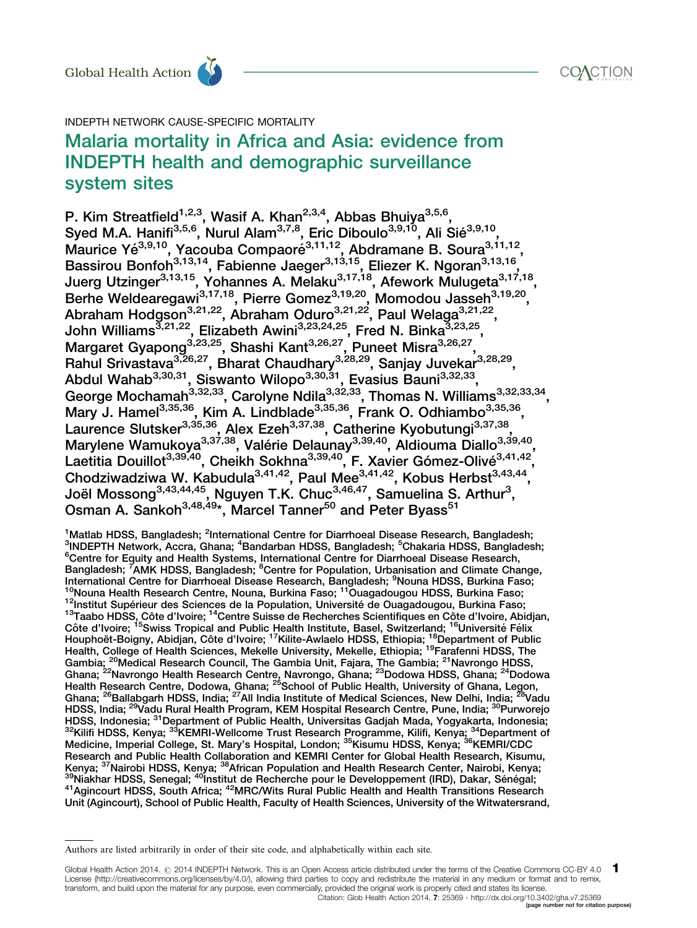

INDEPTH NETWORK CAUSE-SPECIFIC MORTALITY

# Malaria mortality in Africa and Asia: evidence from INDEPTH health and demographic surveillance system sites Global Health Action<br>
MOEPTH NETWORK CAUSE-SPECIFIC MORTALITY<br>
Malaria mortality in Africa and Asia: evidence from

P. Kim Streatfield<sup>1,2,3</sup>, Wasif A. Khan<sup>2,3,4</sup>, Abbas Bhuiya<sup>3,5,6</sup>, Syed M.A. Hanifi<sup>3,5,6</sup>, Nurul Alam<sup>3,7,8</sup>, Eric Diboulo<sup>3,9,10</sup>, Ali Sié<sup>3,9,10</sup>, Maurice Yé<sup>3,9,10</sup>, Yacouba Compaoré<sup>3,11,12</sup>, Abdramane B. Soura<sup>3,11,12</sup>, Bassirou Bonfoh<sup>3,13,14</sup>, Fabienne Jaeger<sup>3,13,15</sup>, Eliezer K. Ngoran<sup>3,13,16</sup>, Juerg Utzinger<sup>3,13,15</sup>, Yohannes A. Melaku<sup>3,17,18</sup>, Afework Mulugeta<sup>3,17,18</sup>, Berhe Weldearegawi<sup>3,17,18</sup>, Pierre Gomez<sup>3,19,20</sup>, Momodou Jasseh<sup>3,19,20</sup>, Abraham Hodgson<sup>3,21,22</sup>, Abraham Oduro<sup>3,21,22</sup>, Paul Welaga<sup>3,21,22</sup>, John Williams<sup>3,21,22</sup>, Elizabeth Awini<sup>3,23,24,25</sup>, Fred N. Binka<sup>3,23,25</sup>, Margaret Gyapong<sup>3,23,25</sup>, Shashi Kant<sup>3,26,27</sup>, Puneet Misra<sup>3,26,27</sup>, Rahul Srivastava<sup>3,26,27</sup>, Bharat Chaudhary<sup>3,28,29</sup>, Sanjay Juvekar<sup>3,28,29</sup>, Abdul Wahab<sup>3,30,31</sup>, Siswanto Wilopo<sup>3,30,31</sup>, Evasius Bauni<sup>3,32,33</sup>, George Mochamah<sup>3,32,33</sup>, Carolyne Ndila<sup>3,32,33</sup>, Thomas N. Williams<sup>3,32,33,34</sup>, Mary J. Hamel<sup>3,35,36</sup>, Kim A. Lindblade<sup>3,35,36</sup>, Frank O. Odhiambo<sup>3,35,36</sup>, Laurence Slutsker<sup>3,35,36</sup>, Alex Ezeh<sup>3,37,38</sup>, Catherine Kyobutungi<sup>3,37,38</sup>, Marylene Wamukoya<sup>3,37,38</sup>, Valérie Delaunay<sup>3,39,40</sup>, Aldiouma Diallo<sup>3,39,40</sup>, Laetitia Douillot<sup>3,39,40</sup>, Cheikh Sokhna<sup>3,39,40</sup>, F. Xavier Gómez-Olivé<sup>3,41,42</sup>, Chodziwadziwa W. Kabudula<sup>3,41,42</sup>, Paul Mee<sup>3,41,42</sup>, Kobus Herbst<sup>3,43,44</sup>, Joël Mossong<sup>3,43,44,45</sup>, Nguyen T.K. Chuc<sup>3,46,47</sup>, Samuelina S. Arthur<sup>3</sup>, Osman A. Sankoh<sup>3,48,49\*</sup>, Marcel Tanner<sup>50</sup> and Peter Byass<sup>51</sup>

<sup>1</sup>Matlab HDSS, Bangladesh; <sup>2</sup>International Centre for Diarrhoeal Disease Research, Bangladesh;<br><sup>3</sup>INDERTH Network, Accra, Chana: <sup>4</sup>Bandarban HDSS, Bangladesh; <sup>5</sup>Chakaria HDSS, Banglades INDEPTH Network, Accra, Ghana; <sup>4</sup>Bandarban HDSS, Bangladesh; <sup>5</sup> <sup>3</sup>INDEPTH Network, Accra, Ghana; <sup>4</sup>Bandarban HDSS, Bangladesh; <sup>5</sup>Chakaria HDSS, Bangladesh;<br><sup>6</sup>Centre for Equity and Health Systems, International Centre for Diarrhoeal Disease Research,<br>Bangladesh; <sup>7</sup>AMK HDSS, Banglad <sup>10</sup>Nouna Health Research Centre, Nouna, Burkina Faso; <sup>11</sup>Ouagadougou HDSS, Burkina Faso;<br><sup>12</sup>Institut Supérieur des Sciences de la Population, Université de Ouagadougou, Burkina Faso;<br><sup>13</sup>Taabo HDSS, Côte d'Ivoire; <sup>14</sup>C Côte d'Ivoire; <sup>15</sup>Swiss Tropical and Public Health Institute, Basel, Switzerland; <sup>16</sup>Université Félix Houphoët-Boigny, Abidjan, Côte d'Ivoire; <sup>17</sup>Kilite-Awlaelo HDSS, Ethiopia; <sup>18</sup>Department of Public Health, College of Health Sciences, Mekelle University, Mekelle, Ethiopia; 19Farafenni HDSS, The Gambia; <sup>20</sup>Medical Research Council, The Gambia Unit, Fajara, The Gambia; <sup>21</sup>Navrongo HDSS, Ghana; <sup>22</sup>Navrongo Health Research Centre, Navrongo, Ghana; <sup>23</sup>Dodowa HDSS, Ghana; <sup>24</sup>Dodowa Health Research Centre, Dodowa, Ghana; <sup>25</sup>School of Public Health, University of Ghana, Legon, Ghana; <sup>26</sup>Ballabgarh HDSS, India; <sup>27</sup>All India Institute of Medical Sciences, New Delhi, India; <sup>28</sup>Vadu HDSS, India; 29Vadu Rural Health Program, KEM Hospital Research Centre, Pune, India; 30Purworejo HDSS, Indonesia; <sup>31</sup>Department of Public Health, Universitas Gadjah Mada, Yogyakarta, Indonesia;<br><sup>32</sup>Kilifi HDSS, Kenya; <sup>33</sup>KEMRI-Wellcome Trust Research Programme, Kilifi, Kenya; <sup>34</sup>Department of Medicine, Imperial College, St. Mary's Hospital, London; <sup>35</sup>Kisumu HDSS, Kenya; <sup>36</sup>KEMRI/CDC Research and Public Health Collaboration and KEMRI Center for Global Health Research, Kisumu,<br>Kenya; <sup>37</sup>Nairobi HDSS, Kenya; <sup>38</sup>African Population and Health Research Center, Nairobi, Kenya;<br><sup>39</sup>Niakhar HDSS, Senegal; <sup>4</sup> Unit (Agincourt), School of Public Health, Faculty of Health Sciences, University of the Witwatersrand,

Global Health Action 2014.  $\odot$  2014 INDEPTH Network. This is an Open Access article distributed under the terms of the Creative Commons CC-BY 4.0  $\,$   $\,$   $\,$ License (http://creativecommons.org/licenses/by/4.0/), allowing third parties to copy and redistribute the material in any medium or format and to remix, transform, and build upon the material for any purpose, even commercially, provided the original work is properly cited and states its license. [Citation: Glob Health Action 2014,](http://www.globalhealthaction.net/index.php/gha/article/view/25369) 7: 25369 -<http://dx.doi.org/10.3402/gha.v7.25369> (page number not for citation purpose)

Authors are listed arbitrarily in order of their site code, and alphabetically within each site.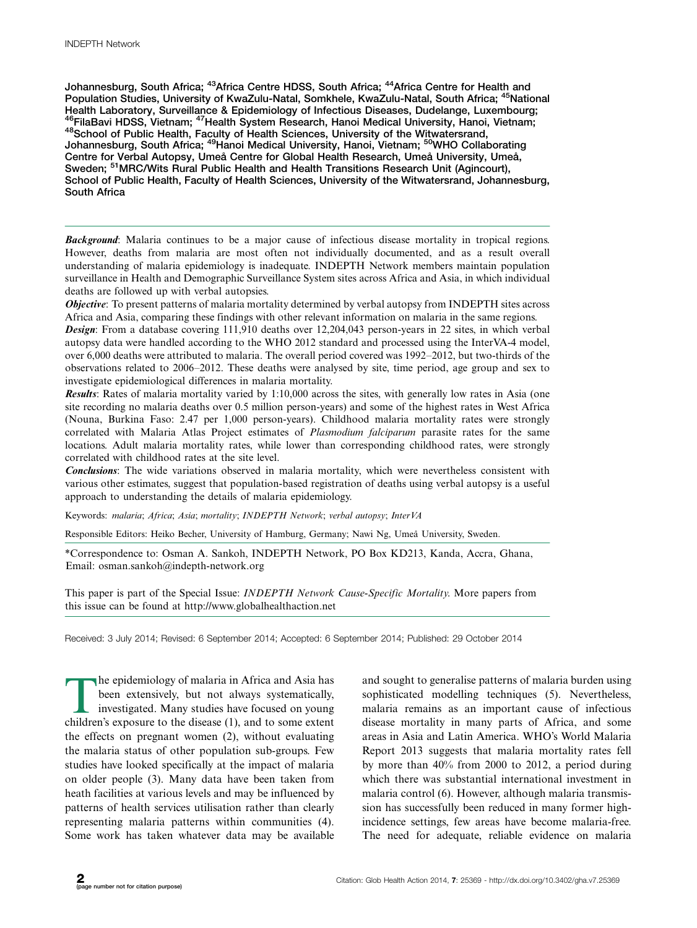<span id="page-1-0"></span>Johannesburg, South Africa; <sup>43</sup>Africa Centre HDSS, South Africa; <sup>44</sup>Africa Centre for Health and Population Studies, University of KwaZulu-Natal, Somkhele, KwaZulu-Natal, South Africa; <sup>45</sup>National Health Laboratory, Surveillance & Epidemiology of Infectious Diseases, Dudelange, Luxembourg;<br><sup>46</sup>FilaBavi HDSS, Vietnam; <sup>47</sup>Health System Research, Hanoi Medical University, Hanoi, Vietnam; <sup>46</sup>FilaBavi HDSS, Vietnam; <sup>47</sup>Health System Research, Hanoi Medical University, Hanoi, Vietnam;<br><sup>48</sup>School of Public Health, Faculty of Health Sciences, University of the Witwatersrand, Johannesburg, South Africa; <sup>49</sup>Hanoi Medical University, Hanoi, Vietnam; <sup>50</sup>WHO Collaborating Centre for Verbal Autopsy, Umeå Centre for Global Health Research, Umeå University, Umeå, Sweden; <sup>51</sup>MRC/Wits Rural Public Health and Health Transitions Research Unit (Agincourt), School of Public Health, Faculty of Health Sciences, University of the Witwatersrand, Johannesburg, South Africa

**Background:** Malaria continues to be a major cause of infectious disease mortality in tropical regions. However, deaths from malaria are most often not individually documented, and as a result overall understanding of malaria epidemiology is inadequate. INDEPTH Network members maintain population surveillance in Health and Demographic Surveillance System sites across Africa and Asia, in which individual deaths are followed up with verbal autopsies.

**Objective:** To present patterns of malaria mortality determined by verbal autopsy from INDEPTH sites across Africa and Asia, comparing these findings with other relevant information on malaria in the same regions.

Design: From a database covering 111,910 deaths over 12,204,043 person-years in 22 sites, in which verbal autopsy data were handled according to the WHO 2012 standard and processed using the InterVA-4 model, over 6,000 deaths were attributed to malaria. The overall period covered was 1992-2012, but two-thirds of the observations related to 2006-2012. These deaths were analysed by site, time period, age group and sex to investigate epidemiological differences in malaria mortality.

Results: Rates of malaria mortality varied by 1:10,000 across the sites, with generally low rates in Asia (one site recording no malaria deaths over 0.5 million person-years) and some of the highest rates in West Africa (Nouna, Burkina Faso: 2.47 per 1,000 person-years). Childhood malaria mortality rates were strongly correlated with Malaria Atlas Project estimates of Plasmodium falciparum parasite rates for the same locations. Adult malaria mortality rates, while lower than corresponding childhood rates, were strongly correlated with childhood rates at the site level.

Conclusions: The wide variations observed in malaria mortality, which were nevertheless consistent with various other estimates, suggest that population-based registration of deaths using verbal autopsy is a useful approach to understanding the details of malaria epidemiology.

Keywords: malaria; Africa; Asia; mortality; INDEPTH Network; verbal autopsy; InterVA

Responsible Editors: Heiko Becher, University of Hamburg, Germany; Nawi Ng, Umeå University, Sweden.

\*Correspondence to: Osman A. Sankoh, INDEPTH Network, PO Box KD213, Kanda, Accra, Ghana, Email: osman.sankoh@indepth-network.org

This paper is part of the Special Issue: [INDEPTH Network Cause-Specific Mortality](http://www.globalhealthaction.net/index.php/gha/issue/view/1602#INDEPTH%20Network%20Cause-Specific%20Mortality). More papers from [this issue can be found at http://www.globalhealthaction.net](http://www.globalhealthaction.net/index.php/gha/issue/view/1602#INDEPTH%20Network%20Cause-Specific%20Mortality)

Received: 3 July 2014; Revised: 6 September 2014; Accepted: 6 September 2014; Published: 29 October 2014

The epidemiology of malaria in Africa and Asia has<br>been extensively, but not always systematically,<br>investigated. Many studies have focused on young<br>children's exposure to the disease (1) and to some extent been extensively, but not always systematically, investigated. Many studies have focused on young children's exposure to the disease (1), and to some extent the effects on pregnant women (2), without evaluating the malaria status of other population sub-groups. Few studies have looked specifically at the impact of malaria on older people (3). Many data have been taken from heath facilities at various levels and may be influenced by patterns of health services utilisation rather than clearly representing malaria patterns within communities (4). Some work has taken whatever data may be available

and sought to generalise patterns of malaria burden using sophisticated modelling techniques (5). Nevertheless, malaria remains as an important cause of infectious disease mortality in many parts of Africa, and some areas in Asia and Latin America. WHO's World Malaria Report 2013 suggests that malaria mortality rates fell by more than 40% from 2000 to 2012, a period during which there was substantial international investment in malaria control (6). However, although malaria transmission has successfully been reduced in many former highincidence settings, few areas have become malaria-free. The need for adequate, reliable evidence on malaria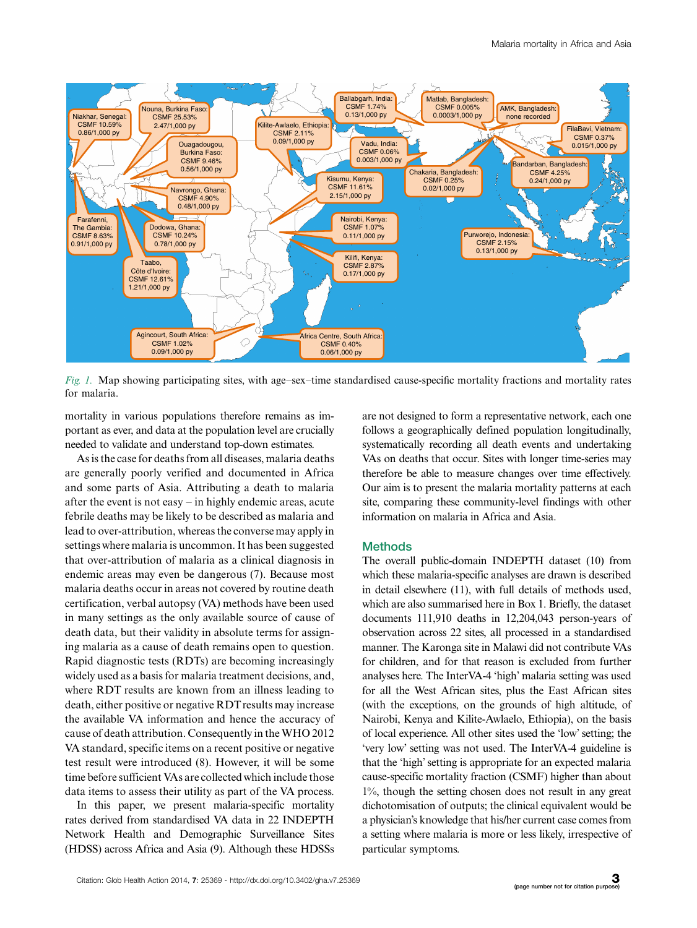

Fig. 1. Map showing participating sites, with age-sex-time standardised cause-specific mortality fractions and mortality rates for malaria.

mortality in various populations therefore remains as important as ever, and data at the population level are crucially needed to validate and understand top-down estimates.

As is the case for deaths from all diseases, malaria deaths are generally poorly verified and documented in Africa and some parts of Asia. Attributing a death to malaria after the event is not easy - in highly endemic areas, acute febrile deaths may be likely to be described as malaria and lead to over-attribution, whereas the converse may apply in settings where malaria is uncommon. It has been suggested that over-attribution of malaria as a clinical diagnosis in endemic areas may even be dangerous (7). Because most malaria deaths occur in areas not covered by routine death certification, verbal autopsy (VA) methods have been used in many settings as the only available source of cause of death data, but their validity in absolute terms for assigning malaria as a cause of death remains open to question. Rapid diagnostic tests (RDTs) are becoming increasingly widely used as a basis for malaria treatment decisions, and, where RDT results are known from an illness leading to death, either positive or negative RDT results may increase the available VA information and hence the accuracy of cause of death attribution. Consequently in the WHO 2012 VA standard, specific items on a recent positive or negative test result were introduced (8). However, it will be some time before sufficient VAs are collected which include those data items to assess their utility as part of the VA process.

In this paper, we present malaria-specific mortality rates derived from standardised VA data in 22 INDEPTH Network Health and Demographic Surveillance Sites (HDSS) across Africa and Asia (9). Although these HDSSs are not designed to form a representative network, each one follows a geographically defined population longitudinally, systematically recording all death events and undertaking VAs on deaths that occur. Sites with longer time-series may therefore be able to measure changes over time effectively. Our aim is to present the malaria mortality patterns at each site, comparing these community-level findings with other information on malaria in Africa and Asia.

#### Methods

The overall public-domain INDEPTH dataset (10) from which these malaria-specific analyses are drawn is described in detail elsewhere (11), with full details of methods used, which are also summarised here in Box 1. Briefly, the dataset documents 111,910 deaths in 12,204,043 person-years of observation across 22 sites, all processed in a standardised manner. The Karonga site in Malawi did not contribute VAs for children, and for that reason is excluded from further analyses here. The InterVA-4 'high' malaria setting was used for all the West African sites, plus the East African sites (with the exceptions, on the grounds of high altitude, of Nairobi, Kenya and Kilite-Awlaelo, Ethiopia), on the basis of local experience. All other sites used the 'low' setting; the 'very low' setting was not used. The InterVA-4 guideline is that the 'high' setting is appropriate for an expected malaria cause-specific mortality fraction (CSMF) higher than about 1%, though the setting chosen does not result in any great dichotomisation of outputs; the clinical equivalent would be a physician's knowledge that his/her current case comes from a setting where malaria is more or less likely, irrespective of particular symptoms.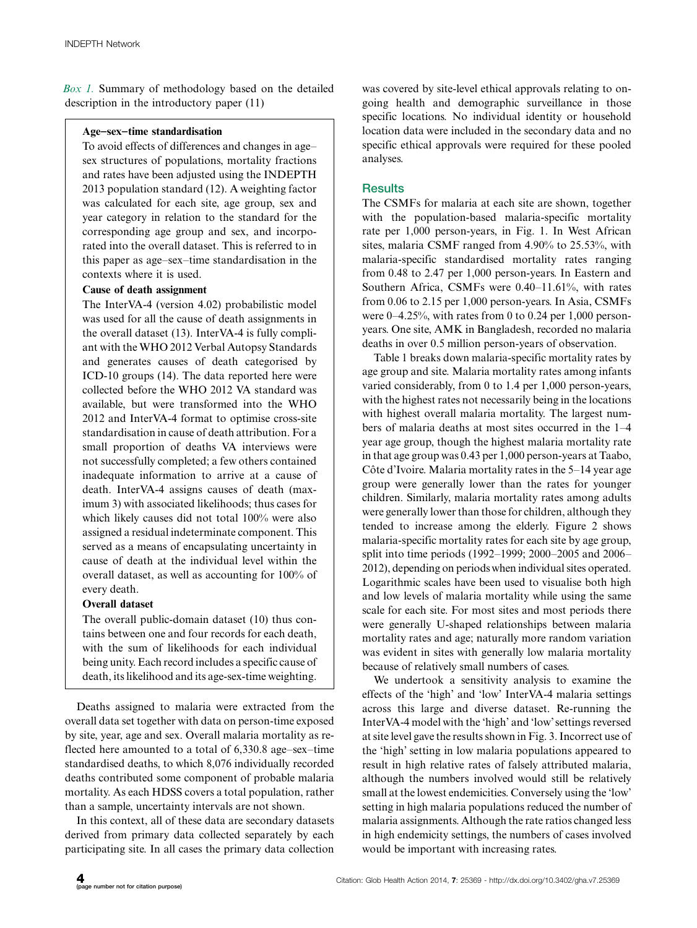Box 1. Summary of methodology based on the detailed description in the introductory paper (11)

# Age-sex-time standardisation

To avoid effects of differences and changes in age sex structures of populations, mortality fractions and rates have been adjusted using the INDEPTH 2013 population standard (12). A weighting factor was calculated for each site, age group, sex and year category in relation to the standard for the corresponding age group and sex, and incorporated into the overall dataset. This is referred to in this paper as age-sex-time standardisation in the contexts where it is used.

## Cause of death assignment

The InterVA-4 (version 4.02) probabilistic model was used for all the cause of death assignments in the overall dataset (13). InterVA-4 is fully compliant with the WHO 2012 Verbal Autopsy Standards and generates causes of death categorised by ICD-10 groups (14). The data reported here were collected before the WHO 2012 VA standard was available, but were transformed into the WHO 2012 and InterVA-4 format to optimise cross-site standardisation in cause of death attribution. For a small proportion of deaths VA interviews were not successfully completed; a few others contained inadequate information to arrive at a cause of death. InterVA-4 assigns causes of death (maximum 3) with associated likelihoods; thus cases for which likely causes did not total 100% were also assigned a residual indeterminate component. This served as a means of encapsulating uncertainty in cause of death at the individual level within the overall dataset, as well as accounting for 100% of every death.

## Overall dataset

The overall public-domain dataset (10) thus contains between one and four records for each death, with the sum of likelihoods for each individual being unity. Each record includes a specific cause of death, its likelihood and its age-sex-time weighting.

Deaths assigned to malaria were extracted from the overall data set together with data on person-time exposed by site, year, age and sex. Overall malaria mortality as reflected here amounted to a total of 6,330.8 age-sex-time standardised deaths, to which 8,076 individually recorded deaths contributed some component of probable malaria mortality. As each HDSS covers a total population, rather than a sample, uncertainty intervals are not shown.

In this context, all of these data are secondary datasets derived from primary data collected separately by each participating site. In all cases the primary data collection

was covered by site-level ethical approvals relating to ongoing health and demographic surveillance in those specific locations. No individual identity or household location data were included in the secondary data and no specific ethical approvals were required for these pooled analyses.

# **Results**

The CSMFs for malaria at each site are shown, together with the population-based malaria-specific mortality rate per 1,000 person-years, in Fig. 1. In West African sites, malaria CSMF ranged from 4.90% to 25.53%, with malaria-specific standardised mortality rates ranging from 0.48 to 2.47 per 1,000 person-years. In Eastern and Southern Africa, CSMFs were 0.40-11.61%, with rates from 0.06 to 2.15 per 1,000 person-years. In Asia, CSMFs were 0-4.25%, with rates from 0 to 0.24 per 1,000 personyears. One site, AMK in Bangladesh, recorded no malaria deaths in over 0.5 million person-years of observation.

Table 1 breaks down malaria-specific mortality rates by age group and site. Malaria mortality rates among infants varied considerably, from 0 to 1.4 per 1,000 person-years, with the highest rates not necessarily being in the locations with highest overall malaria mortality. The largest numbers of malaria deaths at most sites occurred in the 1-4 year age group, though the highest malaria mortality rate in that age group was 0.43 per 1,000 person-years at Taabo, Côte d'Ivoire. Malaria mortality rates in the 5–14 year age group were generally lower than the rates for younger children. Similarly, malaria mortality rates among adults were generally lower than those for children, although they tended to increase among the elderly. Figure 2 shows malaria-specific mortality rates for each site by age group, split into time periods (1992-1999; 2000-2005 and 2006- 2012), depending on periods when individual sites operated. Logarithmic scales have been used to visualise both high and low levels of malaria mortality while using the same scale for each site. For most sites and most periods there were generally U-shaped relationships between malaria mortality rates and age; naturally more random variation was evident in sites with generally low malaria mortality because of relatively small numbers of cases.

We undertook a sensitivity analysis to examine the effects of the 'high' and 'low' InterVA-4 malaria settings across this large and diverse dataset. Re-running the InterVA-4 model with the 'high' and 'low' settings reversed at site level gave the results shown in Fig. 3. Incorrect use of the 'high' setting in low malaria populations appeared to result in high relative rates of falsely attributed malaria, although the numbers involved would still be relatively small at the lowest endemicities. Conversely using the 'low' setting in high malaria populations reduced the number of malaria assignments. Although the rate ratios changed less in high endemicity settings, the numbers of cases involved would be important with increasing rates.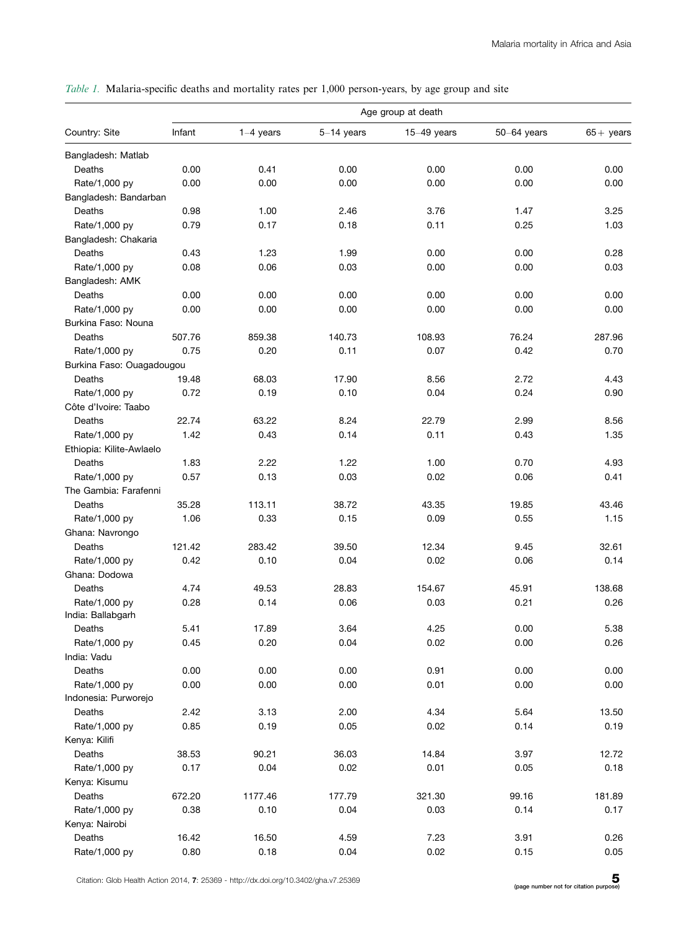|                                       | Age group at death |               |              |               |                 |             |  |  |
|---------------------------------------|--------------------|---------------|--------------|---------------|-----------------|-------------|--|--|
| Country: Site                         | Infant             | $1-4$ years   | $5-14$ years | $15-49$ years | $50 - 64$ years | $65+$ years |  |  |
| Bangladesh: Matlab                    |                    |               |              |               |                 |             |  |  |
| Deaths                                | 0.00               | 0.41          | 0.00         | 0.00          | 0.00            | 0.00        |  |  |
| Rate/1,000 py                         | 0.00               | 0.00          | 0.00         | 0.00          | 0.00            | 0.00        |  |  |
| Bangladesh: Bandarban                 |                    |               |              |               |                 |             |  |  |
| Deaths                                | 0.98               | 1.00          | 2.46         | 3.76          | 1.47            | 3.25        |  |  |
| Rate/1,000 py                         | 0.79               | 0.17          | 0.18         | 0.11          | 0.25            | 1.03        |  |  |
| Bangladesh: Chakaria                  |                    |               |              |               |                 |             |  |  |
| Deaths                                | 0.43               | 1.23          | 1.99         | 0.00          | 0.00            | 0.28        |  |  |
| Rate/1,000 py                         | 0.08               | 0.06          | 0.03         | 0.00          | 0.00            | 0.03        |  |  |
| Bangladesh: AMK                       |                    |               |              |               |                 |             |  |  |
| Deaths                                | 0.00               | 0.00          | 0.00         | 0.00          | 0.00            | 0.00        |  |  |
| Rate/1,000 py                         | 0.00               | 0.00          | 0.00         | 0.00          | 0.00            | 0.00        |  |  |
| Burkina Faso: Nouna                   |                    |               |              |               |                 |             |  |  |
| Deaths                                | 507.76             | 859.38        | 140.73       | 108.93        | 76.24           | 287.96      |  |  |
| Rate/1,000 py                         | 0.75               | 0.20          | 0.11         | 0.07          | 0.42            | 0.70        |  |  |
| Burkina Faso: Ouagadougou             |                    |               |              |               |                 |             |  |  |
| Deaths                                | 19.48              | 68.03         | 17.90        | 8.56          | 2.72            | 4.43        |  |  |
| Rate/1,000 py                         | 0.72               | 0.19          | 0.10         | 0.04          | 0.24            | 0.90        |  |  |
| Côte d'Ivoire: Taabo                  |                    |               |              |               |                 |             |  |  |
| Deaths                                | 22.74              | 63.22         | 8.24         | 22.79         | 2.99            | 8.56        |  |  |
| Rate/1,000 py                         | 1.42               | 0.43          | 0.14         | 0.11          | 0.43            | 1.35        |  |  |
| Ethiopia: Kilite-Awlaelo              |                    |               |              |               |                 |             |  |  |
| Deaths                                | 1.83               | 2.22          | 1.22         | 1.00          | 0.70            | 4.93        |  |  |
| Rate/1,000 py                         | 0.57               | 0.13          | 0.03         | 0.02          | 0.06            | 0.41        |  |  |
| The Gambia: Farafenni                 |                    |               |              |               |                 |             |  |  |
| Deaths                                | 35.28              | 113.11        | 38.72        | 43.35         | 19.85           | 43.46       |  |  |
|                                       | 1.06               | 0.33          | 0.15         | 0.09          | 0.55            | 1.15        |  |  |
| Rate/1,000 py                         |                    |               |              |               |                 |             |  |  |
| Ghana: Navrongo                       |                    |               |              |               |                 |             |  |  |
| Deaths                                | 121.42             | 283.42        | 39.50        | 12.34         | 9.45            | 32.61       |  |  |
| Rate/1,000 py                         | 0.42               | 0.10          | 0.04         | 0.02          | 0.06            | 0.14        |  |  |
| Ghana: Dodowa                         |                    |               |              |               |                 |             |  |  |
| Deaths                                | 4.74               | 49.53         | 28.83        | 154.67        | 45.91           | 138.68      |  |  |
| Rate/1,000 py<br>India: Ballabgarh    | 0.28               | 0.14          | 0.06         | 0.03          | 0.21            | 0.26        |  |  |
| Deaths                                | 5.41               |               | 3.64         | 4.25          | 0.00            | 5.38        |  |  |
| Rate/1,000 py                         | 0.45               | 17.89<br>0.20 | 0.04         | 0.02          | 0.00            | 0.26        |  |  |
| India: Vadu                           |                    |               |              |               |                 |             |  |  |
| Deaths                                |                    |               | 0.00         | 0.91          | 0.00            | 0.00        |  |  |
|                                       | 0.00<br>0.00       | 0.00<br>0.00  | 0.00         | 0.01          | 0.00            | 0.00        |  |  |
| Rate/1,000 py<br>Indonesia: Purworejo |                    |               |              |               |                 |             |  |  |
| Deaths                                |                    |               |              | 4.34          |                 | 13.50       |  |  |
|                                       | 2.42               | 3.13          | 2.00         |               | 5.64            |             |  |  |
| Rate/1,000 py                         | 0.85               | 0.19          | 0.05         | 0.02          | 0.14            | 0.19        |  |  |
| Kenya: Kilifi                         |                    |               |              |               |                 |             |  |  |
| Deaths                                | 38.53              | 90.21         | 36.03        | 14.84         | 3.97            | 12.72       |  |  |
| Rate/1,000 py                         | 0.17               | 0.04          | 0.02         | 0.01          | 0.05            | 0.18        |  |  |
| Kenya: Kisumu                         |                    |               |              |               |                 |             |  |  |
| Deaths                                | 672.20             | 1177.46       | 177.79       | 321.30        | 99.16           | 181.89      |  |  |
| Rate/1,000 py                         | 0.38               | 0.10          | 0.04         | 0.03          | 0.14            | 0.17        |  |  |
| Kenya: Nairobi                        |                    |               |              |               |                 |             |  |  |
| Deaths                                | 16.42              | 16.50         | 4.59         | 7.23          | 3.91            | 0.26        |  |  |
| Rate/1,000 py                         | 0.80               | 0.18          | 0.04         | 0.02          | 0.15            | 0.05        |  |  |

# Table 1. Malaria-specific deaths and mortality rates per 1,000 person-years, by age group and site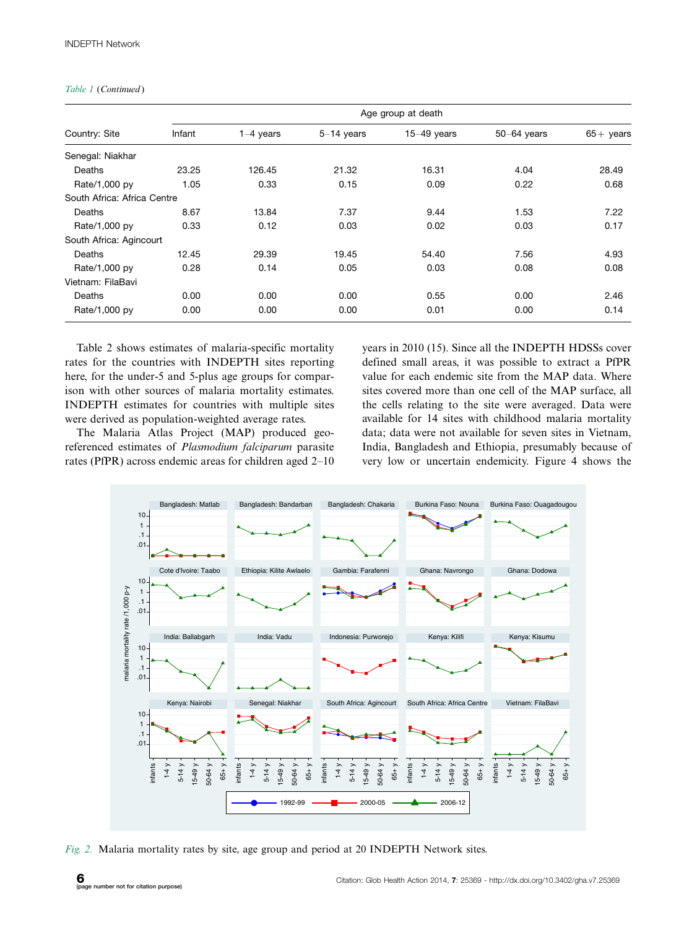|                             | Age group at death |             |              |               |               |             |  |  |  |
|-----------------------------|--------------------|-------------|--------------|---------------|---------------|-------------|--|--|--|
| Country: Site               | Infant             | $1-4$ years | $5-14$ years | $15-49$ years | $50-64$ years | $65+$ years |  |  |  |
| Senegal: Niakhar            |                    |             |              |               |               |             |  |  |  |
| Deaths                      | 23.25              | 126.45      | 21.32        | 16.31         | 4.04          | 28.49       |  |  |  |
| Rate/1,000 py               | 1.05               | 0.33        | 0.15         | 0.09          | 0.22          | 0.68        |  |  |  |
| South Africa: Africa Centre |                    |             |              |               |               |             |  |  |  |
| Deaths                      | 8.67               | 13.84       | 7.37         | 9.44          | 1.53          | 7.22        |  |  |  |
| Rate/1,000 py               | 0.33               | 0.12        | 0.03         | 0.02          | 0.03          | 0.17        |  |  |  |
| South Africa: Agincourt     |                    |             |              |               |               |             |  |  |  |
| Deaths                      | 12.45              | 29.39       | 19.45        | 54.40         | 7.56          | 4.93        |  |  |  |
| Rate/1,000 py               | 0.28               | 0.14        | 0.05         | 0.03          | 0.08          | 0.08        |  |  |  |
| Vietnam: FilaBavi           |                    |             |              |               |               |             |  |  |  |
| Deaths                      | 0.00               | 0.00        | 0.00         | 0.55          | 0.00          | 2.46        |  |  |  |
| Rate/1,000 py               | 0.00               | 0.00        | 0.00         | 0.01          | 0.00          | 0.14        |  |  |  |

#### Table 1 (Continued )

Table 2 shows estimates of malaria-specific mortality rates for the countries with INDEPTH sites reporting here, for the under-5 and 5-plus age groups for comparison with other sources of malaria mortality estimates. INDEPTH estimates for countries with multiple sites were derived as population-weighted average rates.

The Malaria Atlas Project (MAP) produced georeferenced estimates of Plasmodium falciparum parasite rates (PfPR) across endemic areas for children aged 2-10 years in 2010 (15). Since all the INDEPTH HDSSs cover defined small areas, it was possible to extract a PfPR value for each endemic site from the MAP data. Where sites covered more than one cell of the MAP surface, all the cells relating to the site were averaged. Data were available for 14 sites with childhood malaria mortality data; data were not available for seven sites in Vietnam, India, Bangladesh and Ethiopia, presumably because of very low or uncertain endemicity. Figure 4 shows the



Fig. 2. Malaria mortality rates by site, age group and period at 20 INDEPTH Network sites.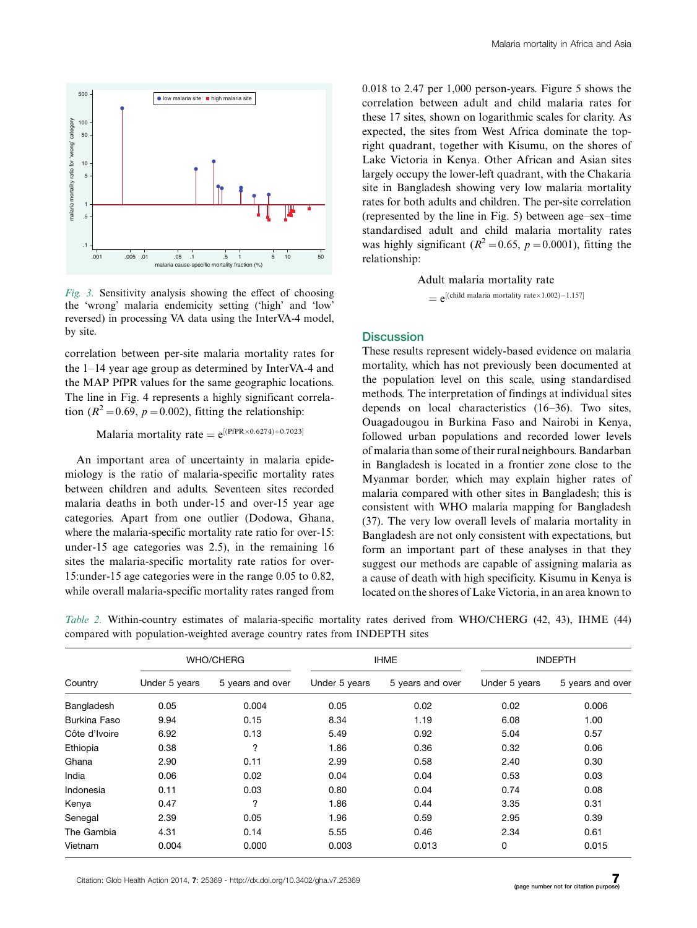

Fig. 3. Sensitivity analysis showing the effect of choosing the 'wrong' malaria endemicity setting ('high' and 'low' reversed) in processing VA data using the InterVA-4 model, by site.

correlation between per-site malaria mortality rates for the 1-14 year age group as determined by InterVA-4 and the MAP PfPR values for the same geographic locations. The line in Fig. 4 represents a highly significant correlation ( $R^2 = 0.69$ ,  $p = 0.002$ ), fitting the relationship:

Malaria mortality rate =  $e^{[(PfPR \times 0.6274)+0.7023]}$ 

An important area of uncertainty in malaria epidemiology is the ratio of malaria-specific mortality rates between children and adults. Seventeen sites recorded malaria deaths in both under-15 and over-15 year age categories. Apart from one outlier (Dodowa, Ghana, where the malaria-specific mortality rate ratio for over-15: under-15 age categories was 2.5), in the remaining 16 sites the malaria-specific mortality rate ratios for over-15:under-15 age categories were in the range 0.05 to 0.82, while overall malaria-specific mortality rates ranged from

0.018 to 2.47 per 1,000 person-years. Figure 5 shows the correlation between adult and child malaria rates for these 17 sites, shown on logarithmic scales for clarity. As expected, the sites from West Africa dominate the topright quadrant, together with Kisumu, on the shores of Lake Victoria in Kenya. Other African and Asian sites largely occupy the lower-left quadrant, with the Chakaria site in Bangladesh showing very low malaria mortality rates for both adults and children. The per-site correlation (represented by the line in Fig. 5) between age-sex-time standardised adult and child malaria mortality rates was highly significant ( $R^2 = 0.65$ ,  $p = 0.0001$ ), fitting the relationship:

> Adult malaria mortality rate  $= e^{[(\text{child malaria mortality rate} \times 1.002) - 1.157]}$

## **Discussion**

These results represent widely-based evidence on malaria mortality, which has not previously been documented at the population level on this scale, using standardised methods. The interpretation of findings at individual sites depends on local characteristics (16-36). Two sites, Ouagadougou in Burkina Faso and Nairobi in Kenya, followed urban populations and recorded lower levels of malaria than some of their rural neighbours. Bandarban in Bangladesh is located in a frontier zone close to the Myanmar border, which may explain higher rates of malaria compared with other sites in Bangladesh; this is consistent with WHO malaria mapping for Bangladesh (37). The very low overall levels of malaria mortality in Bangladesh are not only consistent with expectations, but form an important part of these analyses in that they suggest our methods are capable of assigning malaria as a cause of death with high specificity. Kisumu in Kenya is located on the shores of Lake Victoria, in an area known to

|  | Table 2. Within-country estimates of malaria-specific mortality rates derived from WHO/CHERG (42, 43), IHME (44) |  |  |  |  |  |
|--|------------------------------------------------------------------------------------------------------------------|--|--|--|--|--|
|  | compared with population-weighted average country rates from INDEPTH sites                                       |  |  |  |  |  |

|               |               | <b>WHO/CHERG</b> |               | <b>IHME</b>      | <b>INDEPTH</b> |                  |  |
|---------------|---------------|------------------|---------------|------------------|----------------|------------------|--|
| Country       | Under 5 years | 5 years and over | Under 5 years | 5 years and over | Under 5 years  | 5 years and over |  |
| Bangladesh    | 0.05          | 0.004            | 0.05          | 0.02             | 0.02           | 0.006            |  |
| Burkina Faso  | 9.94          | 0.15             | 8.34          | 1.19             | 6.08           | 1.00             |  |
| Côte d'Ivoire | 6.92          | 0.13             | 5.49          | 0.92             | 5.04           | 0.57             |  |
| Ethiopia      | 0.38          | ?                | 1.86          | 0.36             | 0.32           | 0.06             |  |
| Ghana         | 2.90          | 0.11             | 2.99          | 0.58             | 2.40           | 0.30             |  |
| India         | 0.06          | 0.02             | 0.04          | 0.04             | 0.53           | 0.03             |  |
| Indonesia     | 0.11          | 0.03             | 0.80          | 0.04             | 0.74           | 0.08             |  |
| Kenya         | 0.47          | ?                | 1.86          | 0.44             | 3.35           | 0.31             |  |
| Senegal       | 2.39          | 0.05             | 1.96          | 0.59             | 2.95           | 0.39             |  |
| The Gambia    | 4.31          | 0.14             | 5.55          | 0.46             | 2.34           | 0.61             |  |
| Vietnam       | 0.004         | 0.000            | 0.003         | 0.013            | 0              | 0.015            |  |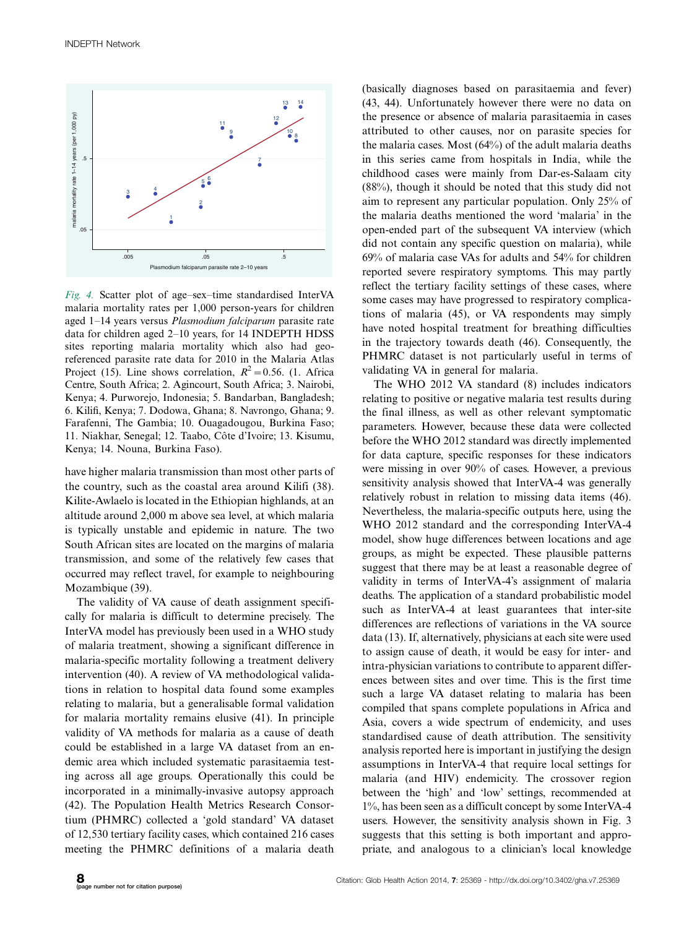

Fig. 4. Scatter plot of age-sex-time standardised InterVA malaria mortality rates per 1,000 person-years for children aged 1-14 years versus Plasmodium falciparum parasite rate data for children aged 2-10 years, for 14 INDEPTH HDSS sites reporting malaria mortality which also had georeferenced parasite rate data for 2010 in the Malaria Atlas Project (15). Line shows correlation,  $R^2 = 0.56$ . (1. Africa Centre, South Africa; 2. Agincourt, South Africa; 3. Nairobi, Kenya; 4. Purworejo, Indonesia; 5. Bandarban, Bangladesh; 6. Kilifi, Kenya; 7. Dodowa, Ghana; 8. Navrongo, Ghana; 9. Farafenni, The Gambia; 10. Ouagadougou, Burkina Faso; 11. Niakhar, Senegal; 12. Taabo, Côte d'Ivoire; 13. Kisumu, Kenya; 14. Nouna, Burkina Faso).

have higher malaria transmission than most other parts of the country, such as the coastal area around Kilifi (38). Kilite-Awlaelo is located in the Ethiopian highlands, at an altitude around 2,000 m above sea level, at which malaria is typically unstable and epidemic in nature. The two South African sites are located on the margins of malaria transmission, and some of the relatively few cases that occurred may reflect travel, for example to neighbouring Mozambique (39).

The validity of VA cause of death assignment specifically for malaria is difficult to determine precisely. The InterVA model has previously been used in a WHO study of malaria treatment, showing a significant difference in malaria-specific mortality following a treatment delivery intervention (40). A review of VA methodological validations in relation to hospital data found some examples relating to malaria, but a generalisable formal validation for malaria mortality remains elusive (41). In principle validity of VA methods for malaria as a cause of death could be established in a large VA dataset from an endemic area which included systematic parasitaemia testing across all age groups. Operationally this could be incorporated in a minimally-invasive autopsy approach (42). The Population Health Metrics Research Consortium (PHMRC) collected a 'gold standard' VA dataset of 12,530 tertiary facility cases, which contained 216 cases meeting the PHMRC definitions of a malaria death

(basically diagnoses based on parasitaemia and fever) (43, 44). Unfortunately however there were no data on the presence or absence of malaria parasitaemia in cases attributed to other causes, nor on parasite species for the malaria cases. Most (64%) of the adult malaria deaths in this series came from hospitals in India, while the childhood cases were mainly from Dar-es-Salaam city (88%), though it should be noted that this study did not aim to represent any particular population. Only 25% of the malaria deaths mentioned the word 'malaria' in the open-ended part of the subsequent VA interview (which did not contain any specific question on malaria), while 69% of malaria case VAs for adults and 54% for children reported severe respiratory symptoms. This may partly reflect the tertiary facility settings of these cases, where some cases may have progressed to respiratory complications of malaria (45), or VA respondents may simply have noted hospital treatment for breathing difficulties in the trajectory towards death (46). Consequently, the PHMRC dataset is not particularly useful in terms of validating VA in general for malaria.

The WHO 2012 VA standard (8) includes indicators relating to positive or negative malaria test results during the final illness, as well as other relevant symptomatic parameters. However, because these data were collected before the WHO 2012 standard was directly implemented for data capture, specific responses for these indicators were missing in over 90% of cases. However, a previous sensitivity analysis showed that InterVA-4 was generally relatively robust in relation to missing data items (46). Nevertheless, the malaria-specific outputs here, using the WHO 2012 standard and the corresponding InterVA-4 model, show huge differences between locations and age groups, as might be expected. These plausible patterns suggest that there may be at least a reasonable degree of validity in terms of InterVA-4's assignment of malaria deaths. The application of a standard probabilistic model such as InterVA-4 at least guarantees that inter-site differences are reflections of variations in the VA source data (13). If, alternatively, physicians at each site were used to assign cause of death, it would be easy for inter- and intra-physician variations to contribute to apparent differences between sites and over time. This is the first time such a large VA dataset relating to malaria has been compiled that spans complete populations in Africa and Asia, covers a wide spectrum of endemicity, and uses standardised cause of death attribution. The sensitivity analysis reported here is important in justifying the design assumptions in InterVA-4 that require local settings for malaria (and HIV) endemicity. The crossover region between the 'high' and 'low' settings, recommended at 1%, has been seen as a difficult concept by some InterVA-4 users. However, the sensitivity analysis shown in Fig. 3 suggests that this setting is both important and appropriate, and analogous to a clinician's local knowledge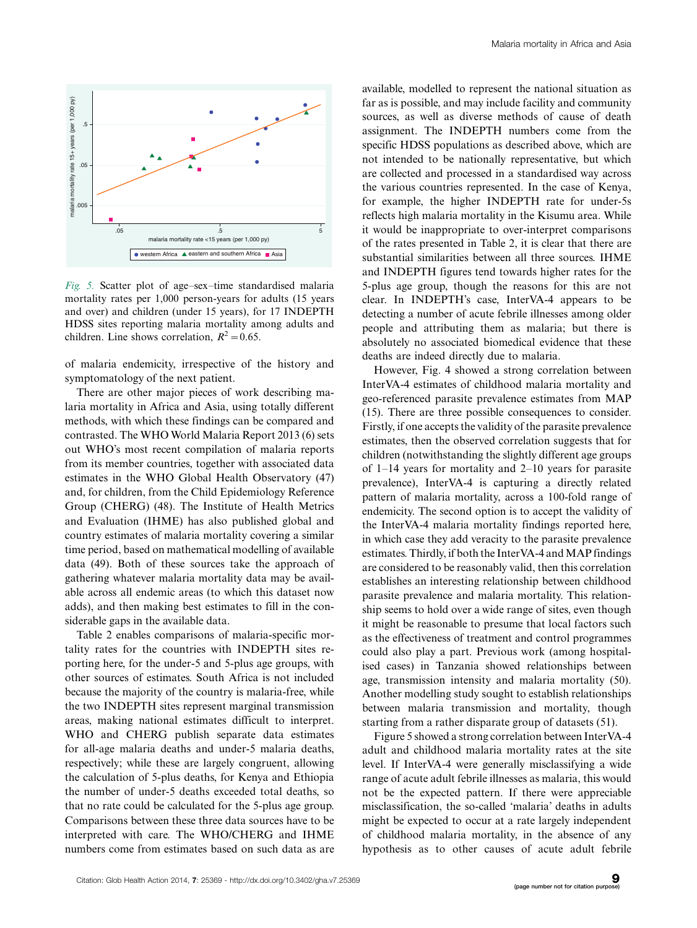

Fig. 5. Scatter plot of age-sex-time standardised malaria mortality rates per 1,000 person-years for adults (15 years and over) and children (under 15 years), for 17 INDEPTH HDSS sites reporting malaria mortality among adults and children. Line shows correlation,  $R^2 = 0.65$ .

of malaria endemicity, irrespective of the history and symptomatology of the next patient.

There are other major pieces of work describing malaria mortality in Africa and Asia, using totally different methods, with which these findings can be compared and contrasted. The WHO World Malaria Report 2013 (6) sets out WHO's most recent compilation of malaria reports from its member countries, together with associated data estimates in the WHO Global Health Observatory (47) and, for children, from the Child Epidemiology Reference Group (CHERG) (48). The Institute of Health Metrics and Evaluation (IHME) has also published global and country estimates of malaria mortality covering a similar time period, based on mathematical modelling of available data (49). Both of these sources take the approach of gathering whatever malaria mortality data may be available across all endemic areas (to which this dataset now adds), and then making best estimates to fill in the considerable gaps in the available data.

Table 2 enables comparisons of malaria-specific mortality rates for the countries with INDEPTH sites reporting here, for the under-5 and 5-plus age groups, with other sources of estimates. South Africa is not included because the majority of the country is malaria-free, while the two INDEPTH sites represent marginal transmission areas, making national estimates difficult to interpret. WHO and CHERG publish separate data estimates for all-age malaria deaths and under-5 malaria deaths, respectively; while these are largely congruent, allowing the calculation of 5-plus deaths, for Kenya and Ethiopia the number of under-5 deaths exceeded total deaths, so that no rate could be calculated for the 5-plus age group. Comparisons between these three data sources have to be interpreted with care. The WHO/CHERG and IHME numbers come from estimates based on such data as are available, modelled to represent the national situation as far as is possible, and may include facility and community sources, as well as diverse methods of cause of death assignment. The INDEPTH numbers come from the specific HDSS populations as described above, which are not intended to be nationally representative, but which are collected and processed in a standardised way across the various countries represented. In the case of Kenya, for example, the higher INDEPTH rate for under-5s reflects high malaria mortality in the Kisumu area. While it would be inappropriate to over-interpret comparisons of the rates presented in Table 2, it is clear that there are substantial similarities between all three sources. IHME and INDEPTH figures tend towards higher rates for the 5-plus age group, though the reasons for this are not clear. In INDEPTH's case, InterVA-4 appears to be detecting a number of acute febrile illnesses among older people and attributing them as malaria; but there is absolutely no associated biomedical evidence that these deaths are indeed directly due to malaria.

However, Fig. 4 showed a strong correlation between InterVA-4 estimates of childhood malaria mortality and geo-referenced parasite prevalence estimates from MAP (15). There are three possible consequences to consider. Firstly, if one accepts the validity of the parasite prevalence estimates, then the observed correlation suggests that for children (notwithstanding the slightly different age groups of 1-14 years for mortality and 2-10 years for parasite prevalence), InterVA-4 is capturing a directly related pattern of malaria mortality, across a 100-fold range of endemicity. The second option is to accept the validity of the InterVA-4 malaria mortality findings reported here, in which case they add veracity to the parasite prevalence estimates. Thirdly, if both the InterVA-4 and MAP findings are considered to be reasonably valid, then this correlation establishes an interesting relationship between childhood parasite prevalence and malaria mortality. This relationship seems to hold over a wide range of sites, even though it might be reasonable to presume that local factors such as the effectiveness of treatment and control programmes could also play a part. Previous work (among hospitalised cases) in Tanzania showed relationships between age, transmission intensity and malaria mortality (50). Another modelling study sought to establish relationships between malaria transmission and mortality, though starting from a rather disparate group of datasets (51).

Figure 5 showed a strong correlation between InterVA-4 adult and childhood malaria mortality rates at the site level. If InterVA-4 were generally misclassifying a wide range of acute adult febrile illnesses as malaria, this would not be the expected pattern. If there were appreciable misclassification, the so-called 'malaria' deaths in adults might be expected to occur at a rate largely independent of childhood malaria mortality, in the absence of any hypothesis as to other causes of acute adult febrile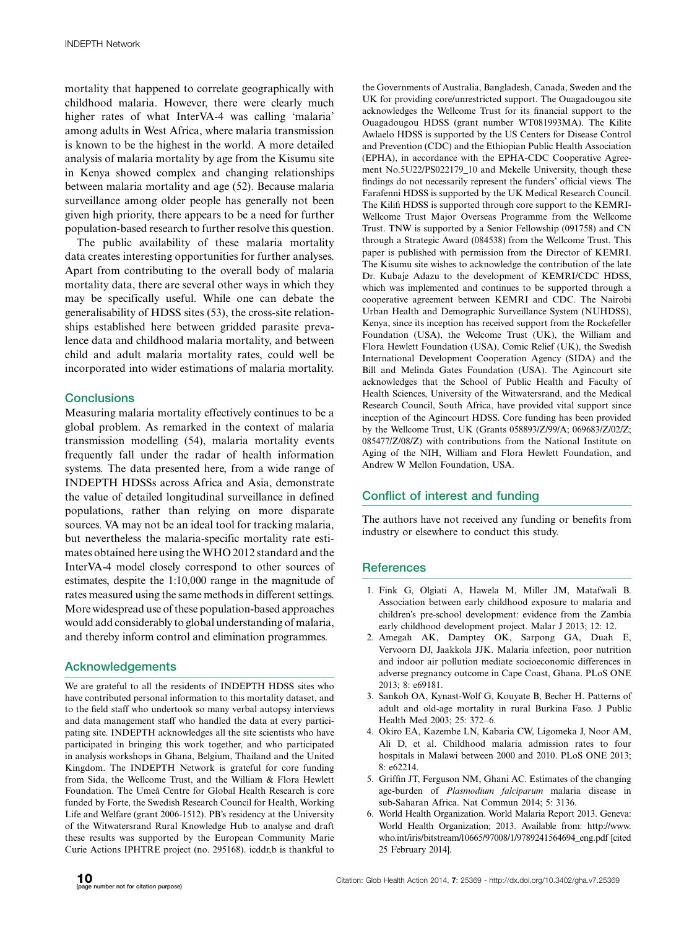mortality that happened to correlate geographically with childhood malaria. However, there were clearly much higher rates of what InterVA-4 was calling 'malaria' among adults in West Africa, where malaria transmission is known to be the highest in the world. A more detailed analysis of malaria mortality by age from the Kisumu site in Kenya showed complex and changing relationships between malaria mortality and age (52). Because malaria surveillance among older people has generally not been given high priority, there appears to be a need for further population-based research to further resolve this question.

The public availability of these malaria mortality data creates interesting opportunities for further analyses. Apart from contributing to the overall body of malaria mortality data, there are several other ways in which they may be specifically useful. While one can debate the generalisability of HDSS sites (53), the cross-site relationships established here between gridded parasite prevalence data and childhood malaria mortality, and between child and adult malaria mortality rates, could well be incorporated into wider estimations of malaria mortality.

#### **Conclusions**

Measuring malaria mortality effectively continues to be a global problem. As remarked in the context of malaria transmission modelling (54), malaria mortality events frequently fall under the radar of health information systems. The data presented here, from a wide range of INDEPTH HDSSs across Africa and Asia, demonstrate the value of detailed longitudinal surveillance in defined populations, rather than relying on more disparate sources. VA may not be an ideal tool for tracking malaria, but nevertheless the malaria-specific mortality rate estimates obtained here using theWHO 2012 standard and the InterVA-4 model closely correspond to other sources of estimates, despite the 1:10,000 range in the magnitude of rates measured using the same methods in different settings. More widespread use of these population-based approaches would add considerably to global understanding of malaria, and thereby inform control and elimination programmes.

#### Acknowledgements

We are grateful to all the residents of INDEPTH HDSS sites who have contributed personal information to this mortality dataset, and to the field staff who undertook so many verbal autopsy interviews and data management staff who handled the data at every participating site. INDEPTH acknowledges all the site scientists who have participated in bringing this work together, and who participated in analysis workshops in Ghana, Belgium, Thailand and the United Kingdom. The INDEPTH Network is grateful for core funding from Sida, the Wellcome Trust, and the William & Flora Hewlett Foundation. The Umeå Centre for Global Health Research is core funded by Forte, the Swedish Research Council for Health, Working Life and Welfare (grant 2006-1512). PB's residency at the University of the Witwatersrand Rural Knowledge Hub to analyse and draft these results was supported by the European Community Marie Curie Actions IPHTRE project (no. 295168). icddr,b is thankful to

the Governments of Australia, Bangladesh, Canada, Sweden and the UK for providing core/unrestricted support. The Ouagadougou site acknowledges the Wellcome Trust for its financial support to the Ouagadougou HDSS (grant number WT081993MA). The Kilite Awlaelo HDSS is supported by the US Centers for Disease Control and Prevention (CDC) and the Ethiopian Public Health Association (EPHA), in accordance with the EPHA-CDC Cooperative Agreement No.5U22/PS022179\_10 and Mekelle University, though these findings do not necessarily represent the funders' official views. The Farafenni HDSS is supported by the UK Medical Research Council. The Kilifi HDSS is supported through core support to the KEMRI-Wellcome Trust Major Overseas Programme from the Wellcome Trust. TNW is supported by a Senior Fellowship (091758) and CN through a Strategic Award (084538) from the Wellcome Trust. This paper is published with permission from the Director of KEMRI. The Kisumu site wishes to acknowledge the contribution of the late Dr. Kubaje Adazu to the development of KEMRI/CDC HDSS, which was implemented and continues to be supported through a cooperative agreement between KEMRI and CDC. The Nairobi Urban Health and Demographic Surveillance System (NUHDSS), Kenya, since its inception has received support from the Rockefeller Foundation (USA), the Welcome Trust (UK), the William and Flora Hewlett Foundation (USA), Comic Relief (UK), the Swedish International Development Cooperation Agency (SIDA) and the Bill and Melinda Gates Foundation (USA). The Agincourt site acknowledges that the School of Public Health and Faculty of Health Sciences, University of the Witwatersrand, and the Medical Research Council, South Africa, have provided vital support since inception of the Agincourt HDSS. Core funding has been provided by the Wellcome Trust, UK (Grants 058893/Z/99/A; 069683/Z/02/Z; 085477/Z/08/Z) with contributions from the National Institute on Aging of the NIH, William and Flora Hewlett Foundation, and Andrew W Mellon Foundation, USA.

## Conflict of interest and funding

The authors have not received any funding or benefits from industry or elsewhere to conduct this study.

#### **References**

- 1. Fink G, Olgiati A, Hawela M, Miller JM, Matafwali B. Association between early childhood exposure to malaria and children's pre-school development: evidence from the Zambia early childhood development project. Malar J 2013; 12: 12.
- 2. Amegah AK, Damptey OK, Sarpong GA, Duah E, Vervoorn DJ, Jaakkola JJK. Malaria infection, poor nutrition and indoor air pollution mediate socioeconomic differences in adverse pregnancy outcome in Cape Coast, Ghana. PLoS ONE 2013; 8: e69181.
- 3. Sankoh OA, Kynast-Wolf G, Kouyate B, Becher H. Patterns of adult and old-age mortality in rural Burkina Faso. J Public Health Med 2003; 25: 372-6.
- 4. Okiro EA, Kazembe LN, Kabaria CW, Ligomeka J, Noor AM, Ali D, et al. Childhood malaria admission rates to four hospitals in Malawi between 2000 and 2010. PLoS ONE 2013; 8: e62214.
- 5. Griffin JT, Ferguson NM, Ghani AC. Estimates of the changing age-burden of Plasmodium falciparum malaria disease in sub-Saharan Africa. Nat Commun 2014; 5: 3136.
- 6. World Health Organization. World Malaria Report 2013. Geneva: World Health Organization; 2013. Available from: [http://www.](http://www.who.int/iris/bitstream/10665/97008/1/9789241564694_eng.pdf) [who.int/iris/bitstream/10665/97008/1/9789241564694\\_eng.pdf](http://www.who.int/iris/bitstream/10665/97008/1/9789241564694_eng.pdf) [cited 25 February 2014].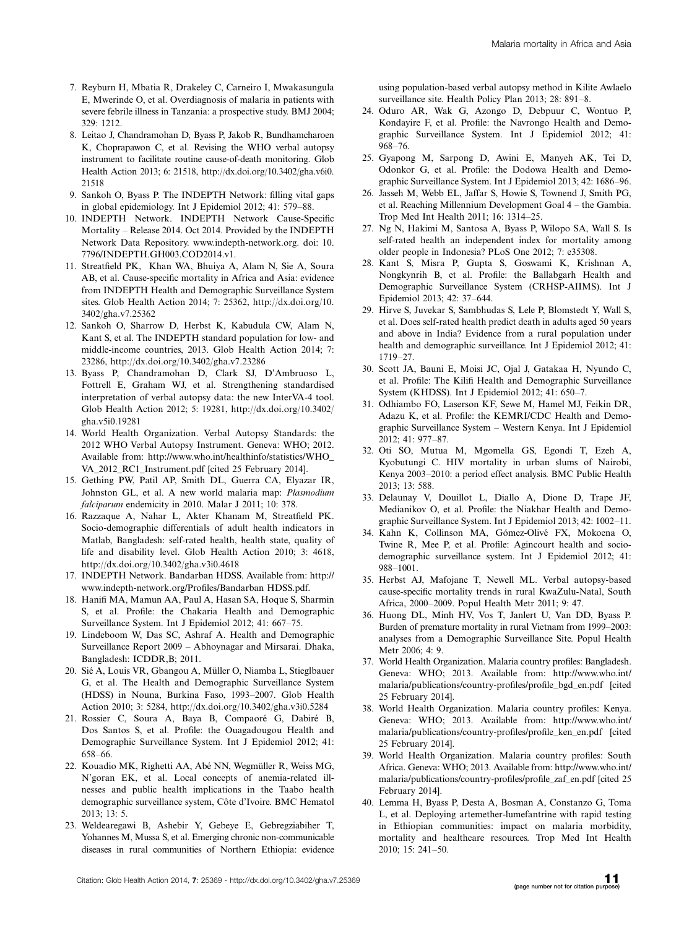- 7. Reyburn H, Mbatia R, Drakeley C, Carneiro I, Mwakasungula E, Mwerinde O, et al. Overdiagnosis of malaria in patients with severe febrile illness in Tanzania: a prospective study. BMJ 2004;  $329 \cdot 1212$
- 8. Leitao J, Chandramohan D, Byass P, Jakob R, Bundhamcharoen K, Choprapawon C, et al. Revising the WHO verbal autopsy instrument to facilitate routine cause-of-death monitoring. Glob Health Action 2013; 6: 21518, [http://dx.doi.org/10.3402/gha.v6i0.](http://dx.doi.org/10.3402/gha.v6i0.21518) [21518](http://dx.doi.org/10.3402/gha.v6i0.21518)
- 9. Sankoh O, Byass P. The INDEPTH Network: filling vital gaps in global epidemiology. Int J Epidemiol 2012; 41: 579-88.
- 10. INDEPTH Network. INDEPTH Network Cause-Specific Mortality - Release 2014. Oct 2014. Provided by the INDEPTH Network Data Repository. [www.indepth-network.org.](http://www.indepth-network.org) doi: 10. 7796/INDEPTH.GH003.COD2014.v1.
- 11. Streatfield PK, Khan WA, Bhuiya A, Alam N, Sie A, Soura AB, et al. Cause-specific mortality in Africa and Asia: evidence from INDEPTH Health and Demographic Surveillance System sites. Glob Health Action 2014; 7: 25362, [http://dx.doi.org/10.](http://dx.doi.org/10.3402/gha.v7.25362) [3402/gha.v7.25362](http://dx.doi.org/10.3402/gha.v7.25362)
- 12. Sankoh O, Sharrow D, Herbst K, Kabudula CW, Alam N, Kant S, et al. The INDEPTH standard population for low- and middle-income countries, 2013. Glob Health Action 2014; 7: 23286,<http://dx.doi.org/10.3402/gha.v7.23286>
- 13. Byass P, Chandramohan D, Clark SJ, D'Ambruoso L, Fottrell E, Graham WJ, et al. Strengthening standardised interpretation of verbal autopsy data: the new InterVA-4 tool. Glob Health Action 2012; 5: 19281, [http://dx.doi.org/10.3402/](http://dx.doi.org/10.3402/gha.v5i0.19281) [gha.v5i0.19281](http://dx.doi.org/10.3402/gha.v5i0.19281)
- 14. World Health Organization. Verbal Autopsy Standards: the 2012 WHO Verbal Autopsy Instrument. Geneva: WHO; 2012. Available from: [http://www.who.int/healthinfo/statistics/WHO\\_](http://www.who.int/healthinfo/statistics/WHO_VA_2012_RC1_Instrument.pdf) [VA\\_2012\\_RC1\\_Instrument.pdf](http://www.who.int/healthinfo/statistics/WHO_VA_2012_RC1_Instrument.pdf) [cited 25 February 2014].
- 15. Gething PW, Patil AP, Smith DL, Guerra CA, Elyazar IR, Johnston GL, et al. A new world malaria map: Plasmodium falciparum endemicity in 2010. Malar J 2011; 10: 378.
- 16. Razzaque A, Nahar L, Akter Khanam M, Streatfield PK. Socio-demographic differentials of adult health indicators in Matlab, Bangladesh: self-rated health, health state, quality of life and disability level. Glob Health Action 2010; 3: 4618, <http://dx.doi.org/10.3402/gha.v3i0.4618>
- 17. INDEPTH Network. Bandarban HDSS. Available from: [http://](http://www.indepth-network.org/Profiles/Bandarban%20HDSS.pdf) [www.indepth-network.org/Profiles/Bandarban HDSS.pdf.](http://www.indepth-network.org/Profiles/Bandarban%20HDSS.pdf)
- 18. Hanifi MA, Mamun AA, Paul A, Hasan SA, Hoque S, Sharmin S, et al. Profile: the Chakaria Health and Demographic Surveillance System. Int J Epidemiol 2012; 41: 667-75.
- 19. Lindeboom W, Das SC, Ashraf A. Health and Demographic Surveillance Report 2009 - Abhoynagar and Mirsarai. Dhaka, Bangladesh: ICDDR,B; 2011.
- 20. Sié A, Louis VR, Gbangou A, Müller O, Niamba L, Stieglbauer G, et al. The Health and Demographic Surveillance System (HDSS) in Nouna, Burkina Faso, 1993-2007. Glob Health Action 2010; 3: 5284,<http://dx.doi.org/10.3402/gha.v3i0.5284>
- 21. Rossier C, Soura A, Baya B, Compaoré G, Dabiré B, Dos Santos S, et al. Profile: the Ouagadougou Health and Demographic Surveillance System. Int J Epidemiol 2012; 41: 658-66.
- 22. Kouadio MK, Righetti AA, Abé NN, Wegmüller R, Weiss MG, N'goran EK, et al. Local concepts of anemia-related illnesses and public health implications in the Taabo health demographic surveillance system, Côte d'Ivoire. BMC Hematol 2013; 13: 5.
- 23. Weldearegawi B, Ashebir Y, Gebeye E, Gebregziabiher T, Yohannes M, Mussa S, et al. Emerging chronic non-communicable diseases in rural communities of Northern Ethiopia: evidence

using population-based verbal autopsy method in Kilite Awlaelo surveillance site. Health Policy Plan 2013; 28: 891-8.

- 24. Oduro AR, Wak G, Azongo D, Debpuur C, Wontuo P, Kondayire F, et al. Profile: the Navrongo Health and Demographic Surveillance System. Int J Epidemiol 2012; 41: 968-76.
- 25. Gyapong M, Sarpong D, Awini E, Manyeh AK, Tei D, Odonkor G, et al. Profile: the Dodowa Health and Demographic Surveillance System. Int J Epidemiol 2013; 42: 1686-96.
- 26. Jasseh M, Webb EL, Jaffar S, Howie S, Townend J, Smith PG, et al. Reaching Millennium Development Goal 4 - the Gambia. Trop Med Int Health 2011; 16: 1314-25.
- 27. Ng N, Hakimi M, Santosa A, Byass P, Wilopo SA, Wall S. Is self-rated health an independent index for mortality among older people in Indonesia? PLoS One 2012; 7: e35308.
- 28. Kant S, Misra P, Gupta S, Goswami K, Krishnan A, Nongkynrih B, et al. Profile: the Ballabgarh Health and Demographic Surveillance System (CRHSP-AIIMS). Int J Epidemiol 2013; 42: 37-644.
- 29. Hirve S, Juvekar S, Sambhudas S, Lele P, Blomstedt Y, Wall S, et al. Does self-rated health predict death in adults aged 50 years and above in India? Evidence from a rural population under health and demographic surveillance. Int J Epidemiol 2012; 41: 1719-27.
- 30. Scott JA, Bauni E, Moisi JC, Ojal J, Gatakaa H, Nyundo C, et al. Profile: The Kilifi Health and Demographic Surveillance System (KHDSS). Int J Epidemiol 2012; 41: 650-7.
- 31. Odhiambo FO, Laserson KF, Sewe M, Hamel MJ, Feikin DR, Adazu K, et al. Profile: the KEMRI/CDC Health and Demographic Surveillance System - Western Kenya. Int J Epidemiol 2012; 41: 977-87.
- 32. Oti SO, Mutua M, Mgomella GS, Egondi T, Ezeh A, Kyobutungi C. HIV mortality in urban slums of Nairobi, Kenya 2003-2010: a period effect analysis. BMC Public Health 2013; 13: 588.
- 33. Delaunay V, Douillot L, Diallo A, Dione D, Trape JF, Medianikov O, et al. Profile: the Niakhar Health and Demographic Surveillance System. Int J Epidemiol 2013; 42: 1002-11.
- 34. Kahn K, Collinson MA, Gómez-Olivé FX, Mokoena O, Twine R, Mee P, et al. Profile: Agincourt health and sociodemographic surveillance system. Int J Epidemiol 2012; 41: 988-1001.
- 35. Herbst AJ, Mafojane T, Newell ML. Verbal autopsy-based cause-specific mortality trends in rural KwaZulu-Natal, South Africa, 2000-2009. Popul Health Metr 2011; 9: 47.
- 36. Huong DL, Minh HV, Vos T, Janlert U, Van DD, Byass P. Burden of premature mortality in rural Vietnam from 1999-2003: analyses from a Demographic Surveillance Site. Popul Health Metr 2006; 4: 9.
- 37. World Health Organization. Malaria country profiles: Bangladesh. Geneva: WHO; 2013. Available from: [http://www.who.int/](http://www.who.int/malaria/publications/country-profiles/profile_bgd_en.pdf ) [malaria/publications/country-profiles/profile\\_bgd\\_en.pdf](http://www.who.int/malaria/publications/country-profiles/profile_bgd_en.pdf ) [cited 25 February 2014].
- 38. World Health Organization. Malaria country profiles: Kenya. Geneva: WHO; 2013. Available from: [http://www.who.int/](http://www.who.int/malaria/publications/country-profiles/profile_ken_en.pdf) [malaria/publications/country-profiles/profile\\_ken\\_en.pdf](http://www.who.int/malaria/publications/country-profiles/profile_ken_en.pdf) [cited 25 February 2014].
- 39. World Health Organization. Malaria country profiles: South Africa. Geneva: WHO; 2013. Available from: [http://www.who.int/](http://www.who.int/malaria/publications/country-profiles/profile_zaf_en.pdf) [malaria/publications/country-profiles/profile\\_zaf\\_en.pdf](http://www.who.int/malaria/publications/country-profiles/profile_zaf_en.pdf) [cited 25 February 2014].
- 40. Lemma H, Byass P, Desta A, Bosman A, Constanzo G, Toma L, et al. Deploying artemether-lumefantrine with rapid testing in Ethiopian communities: impact on malaria morbidity, mortality and healthcare resources. Trop Med Int Health 2010; 15: 241-50.